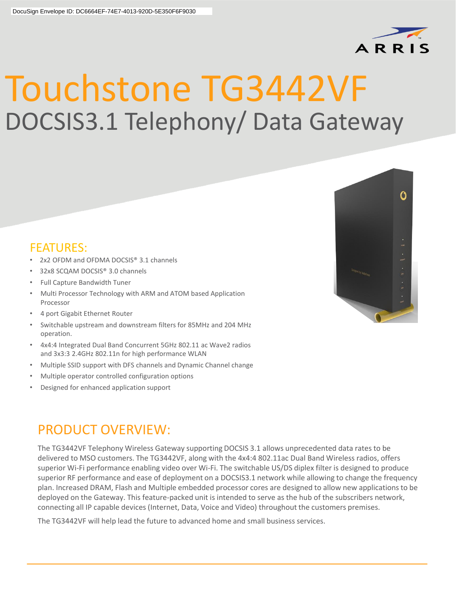

## Touchstone TG3442VF DOCSIS3.1 Telephony/ Data Gateway

## FEATURES:

- 2x2 OFDM and OFDMA DOCSIS® 3.1 channels
- 32x8 SCQAM DOCSIS® 3.0 channels
- Full Capture Bandwidth Tuner
- Multi Processor Technology with ARM and ATOM based Application Processor
- 4 port Gigabit Ethernet Router
- Switchable upstream and downstream filters for 85MHz and 204 MHz operation.
- 4x4:4 Integrated Dual Band Concurrent 5GHz 802.11 ac Wave2 radios and 3x3:3 2.4GHz 802.11n for high performance WLAN
- Multiple SSID support with DFS channels and Dynamic Channel change
- Multiple operator controlled configuration options
- Designed for enhanced application support

## PRODUCT OVERVIEW:

The TG3442VF Telephony Wireless Gateway supporting DOCSIS 3.1 allows unprecedented data rates to be delivered to MSO customers. The TG3442VF, along with the 4x4:4 802.11ac Dual Band Wireless radios, offers superior Wi-Fi performance enabling video over Wi-Fi. The switchable US/DS diplex filter is designed to produce superior RF performance and ease of deployment on a DOCSIS3.1 network while allowing to change the frequency plan. Increased DRAM, Flash and Multiple embedded processor cores are designed to allow new applications to be deployed on the Gateway. This feature-packed unit is intended to serve as the hub of the subscribers network, connecting all IP capable devices (Internet, Data, Voice and Video) throughout the customers premises.

The TG3442VF will help lead the future to advanced home and small business services.